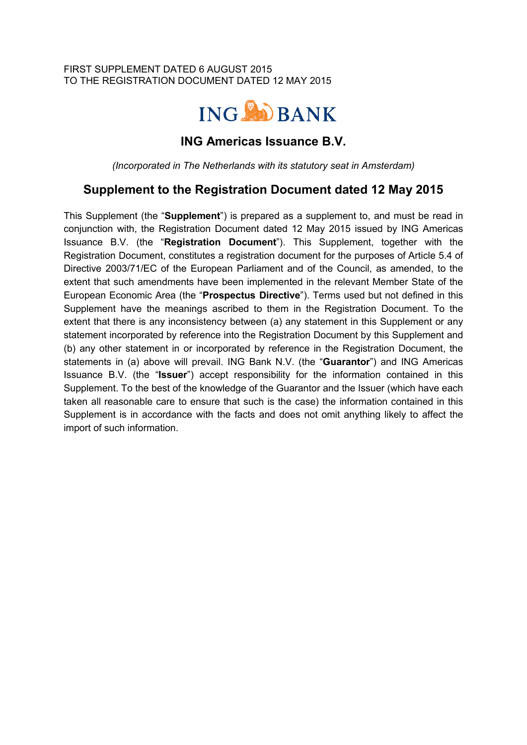#### FIRST SUPPLEMENT DATED 6 AUGUST 2015 TO THE REGISTRATION DOCUMENT DATED 12 MAY 2015



## **ING Americas Issuance B.V.**

*(Incorporated in The Netherlands with its statutory seat in Amsterdam)*

# **Supplement to the Registration Document dated 12 May 2015**

This Supplement (the "**Supplement**") is prepared as a supplement to, and must be read in conjunction with, the Registration Document dated 12 May 2015 issued by ING Americas Issuance B.V. (the "**Registration Document**"). This Supplement, together with the Registration Document, constitutes a registration document for the purposes of Article 5.4 of Directive 2003/71/EC of the European Parliament and of the Council, as amended, to the extent that such amendments have been implemented in the relevant Member State of the European Economic Area (the "**Prospectus Directive**"). Terms used but not defined in this Supplement have the meanings ascribed to them in the Registration Document. To the extent that there is any inconsistency between (a) any statement in this Supplement or any statement incorporated by reference into the Registration Document by this Supplement and (b) any other statement in or incorporated by reference in the Registration Document, the statements in (a) above will prevail. ING Bank N.V. (the "**Guarantor**") and ING Americas Issuance B.V. (the "**Issuer**") accept responsibility for the information contained in this Supplement. To the best of the knowledge of the Guarantor and the Issuer (which have each taken all reasonable care to ensure that such is the case) the information contained in this Supplement is in accordance with the facts and does not omit anything likely to affect the import of such information.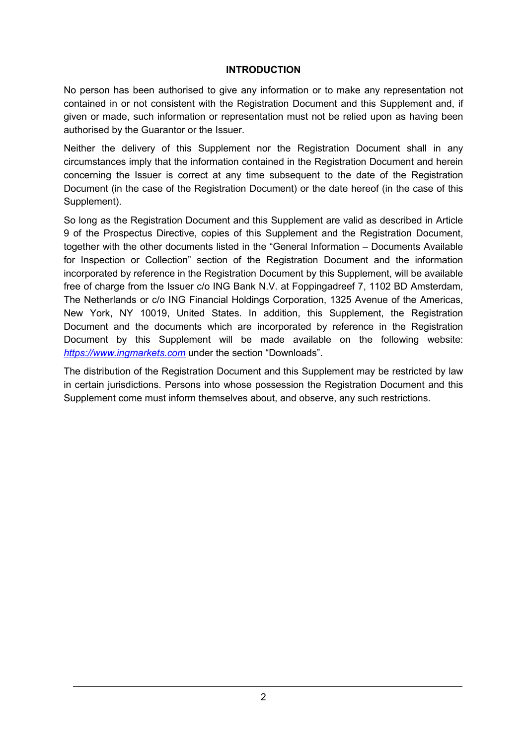#### **INTRODUCTION**

No person has been authorised to give any information or to make any representation not contained in or not consistent with the Registration Document and this Supplement and, if given or made, such information or representation must not be relied upon as having been authorised by the Guarantor or the Issuer.

Neither the delivery of this Supplement nor the Registration Document shall in any circumstances imply that the information contained in the Registration Document and herein concerning the Issuer is correct at any time subsequent to the date of the Registration Document (in the case of the Registration Document) or the date hereof (in the case of this Supplement).

So long as the Registration Document and this Supplement are valid as described in Article 9 of the Prospectus Directive, copies of this Supplement and the Registration Document, together with the other documents listed in the "General Information – Documents Available for Inspection or Collection" section of the Registration Document and the information incorporated by reference in the Registration Document by this Supplement, will be available free of charge from the Issuer c/o ING Bank N.V. at Foppingadreef 7, 1102 BD Amsterdam, The Netherlands or c/o ING Financial Holdings Corporation, 1325 Avenue of the Americas, New York, NY 10019, United States. In addition, this Supplement, the Registration Document and the documents which are incorporated by reference in the Registration Document by this Supplement will be made available on the following website: *https://www.ingmarkets.com* under the section "Downloads".

The distribution of the Registration Document and this Supplement may be restricted by law in certain jurisdictions. Persons into whose possession the Registration Document and this Supplement come must inform themselves about, and observe, any such restrictions.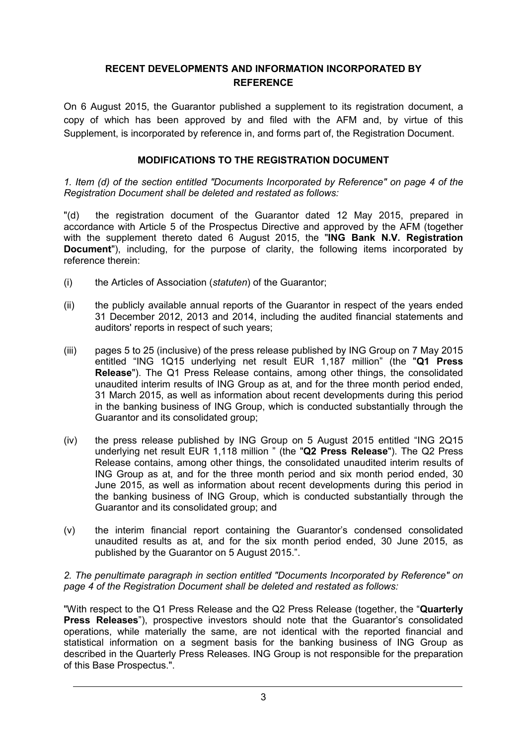## **RECENT DEVELOPMENTS AND INFORMATION INCORPORATED BY REFERENCE**

On 6 August 2015, the Guarantor published a supplement to its registration document, a copy of which has been approved by and filed with the AFM and, by virtue of this Supplement, is incorporated by reference in, and forms part of, the Registration Document.

## **MODIFICATIONS TO THE REGISTRATION DOCUMENT**

*1. Item (d) of the section entitled "Documents Incorporated by Reference" on page 4 of the Registration Document shall be deleted and restated as follows:*

"(d) the registration document of the Guarantor dated 12 May 2015, prepared in accordance with Article 5 of the Prospectus Directive and approved by the AFM (together with the supplement thereto dated 6 August 2015, the "**ING Bank N.V. Registration Document**"), including, for the purpose of clarity, the following items incorporated by reference therein:

- (i) the Articles of Association (*statuten*) of the Guarantor;
- (ii) the publicly available annual reports of the Guarantor in respect of the years ended 31 December 2012, 2013 and 2014, including the audited financial statements and auditors' reports in respect of such years;
- (iii) pages 5 to 25 (inclusive) of the press release published by ING Group on 7 May 2015 entitled "ING 1Q15 underlying net result EUR 1,187 million" (the "**Q1 Press Release**"). The Q1 Press Release contains, among other things, the consolidated unaudited interim results of ING Group as at, and for the three month period ended, 31 March 2015, as well as information about recent developments during this period in the banking business of ING Group, which is conducted substantially through the Guarantor and its consolidated group;
- (iv) the press release published by ING Group on 5 August 2015 entitled "ING 2Q15 underlying net result EUR 1,118 million " (the "**Q2 Press Release**"). The Q2 Press Release contains, among other things, the consolidated unaudited interim results of ING Group as at, and for the three month period and six month period ended, 30 June 2015, as well as information about recent developments during this period in the banking business of ING Group, which is conducted substantially through the Guarantor and its consolidated group; and
- (v) the interim financial report containing the Guarantor's condensed consolidated unaudited results as at, and for the six month period ended, 30 June 2015, as published by the Guarantor on 5 August 2015.".

#### *2. The penultimate paragraph in section entitled "Documents Incorporated by Reference" on page 4 of the Registration Document shall be deleted and restated as follows:*

"With respect to the Q1 Press Release and the Q2 Press Release (together, the "**Quarterly Press Releases**"), prospective investors should note that the Guarantor's consolidated operations, while materially the same, are not identical with the reported financial and statistical information on a segment basis for the banking business of ING Group as described in the Quarterly Press Releases. ING Group is not responsible for the preparation of this Base Prospectus.".